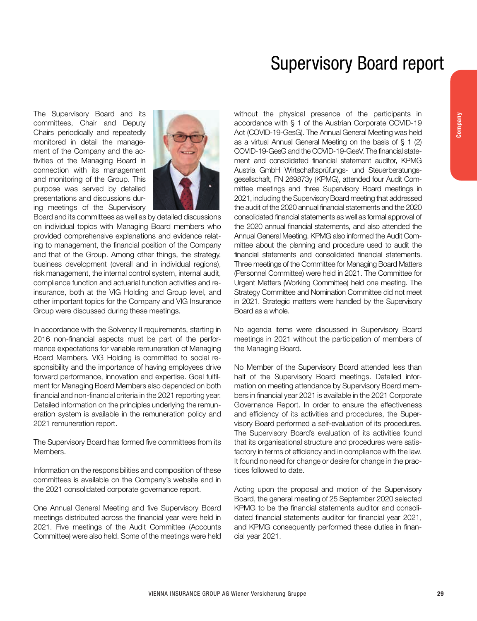## Supervisory Board report

The Supervisory Board and its committees, Chair and Deputy Chairs periodically and repeatedly monitored in detail the management of the Company and the activities of the Managing Board in connection with its management and monitoring of the Group. This purpose was served by detailed presentations and discussions during meetings of the Supervisory



Board and its committees as well as by detailed discussions on individual topics with Managing Board members who provided comprehensive explanations and evidence relating to management, the financial position of the Company and that of the Group. Among other things, the strategy, business development (overall and in individual regions), risk management, the internal control system, internal audit, compliance function and actuarial function activities and reinsurance, both at the VIG Holding and Group level, and other important topics for the Company and VIG Insurance Group were discussed during these meetings.

In accordance with the Solvency II requirements, starting in 2016 non-financial aspects must be part of the performance expectations for variable remuneration of Managing Board Members. VIG Holding is committed to social responsibility and the importance of having employees drive forward performance, innovation and expertise. Goal fulfilment for Managing Board Members also depended on both financial and non-financial criteria in the 2021 reporting year. Detailed information on the principles underlying the remuneration system is available in the remuneration policy and 2021 remuneration report.

The Supervisory Board has formed five committees from its Members.

Information on the responsibilities and composition of these committees is available on the Company's website and in the 2021 consolidated corporate governance report.

One Annual General Meeting and five Supervisory Board meetings distributed across the financial year were held in 2021. Five meetings of the Audit Committee (Accounts Committee) were also held. Some of the meetings were held without the physical presence of the participants in accordance with § 1 of the Austrian Corporate COVID-19 Act (COVID-19-GesG). The Annual General Meeting was held as a virtual Annual General Meeting on the basis of § 1 (2) COVID-19-GesG and the COVID-19-GesV. The financial statement and consolidated financial statement auditor, KPMG Austria GmbH Wirtschaftsprüfungs- und Steuerberatungsgesellschaft, FN 269873y (KPMG), attended four Audit Committee meetings and three Supervisory Board meetings in 2021, including the Supervisory Board meeting that addressed the audit of the 2020 annual financial statements and the 2020 consolidated financial statements as well as formal approval of the 2020 annual financial statements, and also attended the Annual General Meeting. KPMG also informed the Audit Committee about the planning and procedure used to audit the financial statements and consolidated financial statements. Three meetings of the Committee for Managing Board Matters (Personnel Committee) were held in 2021. The Committee for Urgent Matters (Working Committee) held one meeting. The Strategy Committee and Nomination Committee did not meet in 2021. Strategic matters were handled by the Supervisory Board as a whole.

No agenda items were discussed in Supervisory Board meetings in 2021 without the participation of members of the Managing Board.

No Member of the Supervisory Board attended less than half of the Supervisory Board meetings. Detailed information on meeting attendance by Supervisory Board members in financial year 2021 is available in the 2021 Corporate Governance Report. In order to ensure the effectiveness and efficiency of its activities and procedures, the Supervisory Board performed a self-evaluation of its procedures. The Supervisory Board's evaluation of its activities found that its organisational structure and procedures were satisfactory in terms of efficiency and in compliance with the law. It found no need for change or desire for change in the practices followed to date.

Acting upon the proposal and motion of the Supervisory Board, the general meeting of 25 September 2020 selected KPMG to be the financial statements auditor and consolidated financial statements auditor for financial year 2021, and KPMG consequently performed these duties in financial year 2021.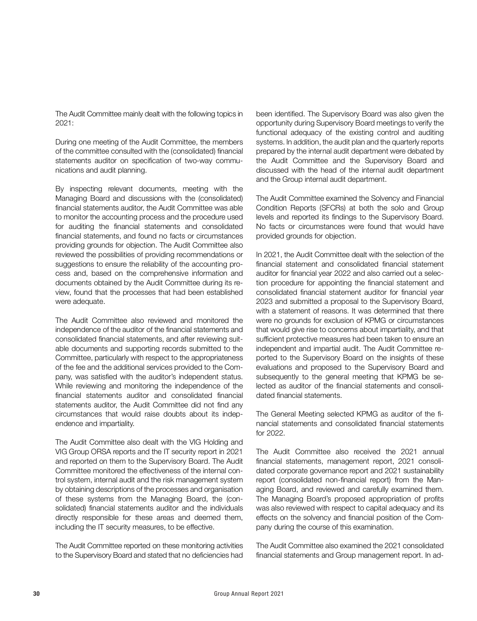The Audit Committee mainly dealt with the following topics in 2021:

During one meeting of the Audit Committee, the members of the committee consulted with the (consolidated) financial statements auditor on specification of two-way communications and audit planning.

By inspecting relevant documents, meeting with the Managing Board and discussions with the (consolidated) financial statements auditor, the Audit Committee was able to monitor the accounting process and the procedure used for auditing the financial statements and consolidated financial statements, and found no facts or circumstances providing grounds for objection. The Audit Committee also reviewed the possibilities of providing recommendations or suggestions to ensure the reliability of the accounting process and, based on the comprehensive information and documents obtained by the Audit Committee during its review, found that the processes that had been established were adequate.

The Audit Committee also reviewed and monitored the independence of the auditor of the financial statements and consolidated financial statements, and after reviewing suitable documents and supporting records submitted to the Committee, particularly with respect to the appropriateness of the fee and the additional services provided to the Company, was satisfied with the auditor's independent status. While reviewing and monitoring the independence of the financial statements auditor and consolidated financial statements auditor, the Audit Committee did not find any circumstances that would raise doubts about its independence and impartiality.

The Audit Committee also dealt with the VIG Holding and VIG Group ORSA reports and the IT security report in 2021 and reported on them to the Supervisory Board. The Audit Committee monitored the effectiveness of the internal control system, internal audit and the risk management system by obtaining descriptions of the processes and organisation of these systems from the Managing Board, the (consolidated) financial statements auditor and the individuals directly responsible for these areas and deemed them, including the IT security measures, to be effective.

The Audit Committee reported on these monitoring activities to the Supervisory Board and stated that no deficiencies had been identified. The Supervisory Board was also given the opportunity during Supervisory Board meetings to verify the functional adequacy of the existing control and auditing systems. In addition, the audit plan and the quarterly reports prepared by the internal audit department were debated by the Audit Committee and the Supervisory Board and discussed with the head of the internal audit department and the Group internal audit department.

The Audit Committee examined the Solvency and Financial Condition Reports (SFCRs) at both the solo and Group levels and reported its findings to the Supervisory Board. No facts or circumstances were found that would have provided grounds for objection.

In 2021, the Audit Committee dealt with the selection of the financial statement and consolidated financial statement auditor for financial year 2022 and also carried out a selection procedure for appointing the financial statement and consolidated financial statement auditor for financial year 2023 and submitted a proposal to the Supervisory Board, with a statement of reasons. It was determined that there were no grounds for exclusion of KPMG or circumstances that would give rise to concerns about impartiality, and that sufficient protective measures had been taken to ensure an independent and impartial audit. The Audit Committee reported to the Supervisory Board on the insights of these evaluations and proposed to the Supervisory Board and subsequently to the general meeting that KPMG be selected as auditor of the financial statements and consolidated financial statements.

The General Meeting selected KPMG as auditor of the financial statements and consolidated financial statements for 2022.

The Audit Committee also received the 2021 annual financial statements, management report, 2021 consolidated corporate governance report and 2021 sustainability report (consolidated non-financial report) from the Managing Board, and reviewed and carefully examined them. The Managing Board's proposed appropriation of profits was also reviewed with respect to capital adequacy and its effects on the solvency and financial position of the Company during the course of this examination.

The Audit Committee also examined the 2021 consolidated financial statements and Group management report. In ad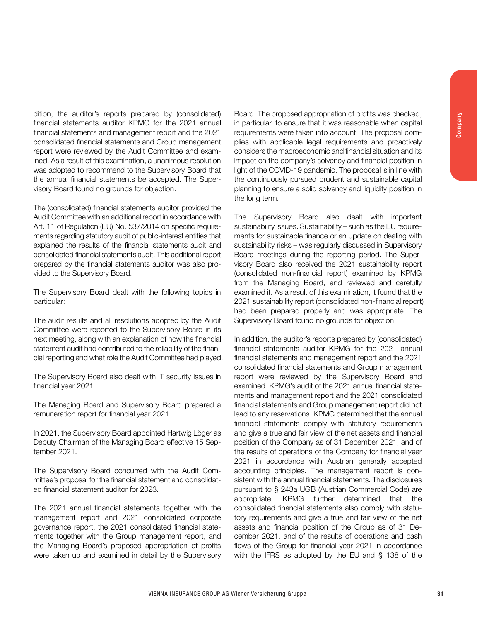dition, the auditor's reports prepared by (consolidated) financial statements auditor KPMG for the 2021 annual financial statements and management report and the 2021 consolidated financial statements and Group management report were reviewed by the Audit Committee and examined. As a result of this examination, a unanimous resolution was adopted to recommend to the Supervisory Board that the annual financial statements be accepted. The Supervisory Board found no grounds for objection.

The (consolidated) financial statements auditor provided the Audit Committee with an additional report in accordance with Art. 11 of Regulation (EU) No. 537/2014 on specific requirements regarding statutory audit of public-interest entities that explained the results of the financial statements audit and consolidated financial statements audit. This additional report prepared by the financial statements auditor was also provided to the Supervisory Board.

The Supervisory Board dealt with the following topics in particular:

The audit results and all resolutions adopted by the Audit Committee were reported to the Supervisory Board in its next meeting, along with an explanation of how the financial statement audit had contributed to the reliability of the financial reporting and what role the Audit Committee had played.

The Supervisory Board also dealt with IT security issues in financial year 2021.

The Managing Board and Supervisory Board prepared a remuneration report for financial year 2021.

In 2021, the Supervisory Board appointed Hartwig Löger as Deputy Chairman of the Managing Board effective 15 September 2021.

The Supervisory Board concurred with the Audit Committee's proposal for the financial statement and consolidated financial statement auditor for 2023.

The 2021 annual financial statements together with the management report and 2021 consolidated corporate governance report, the 2021 consolidated financial statements together with the Group management report, and the Managing Board's proposed appropriation of profits were taken up and examined in detail by the Supervisory Board. The proposed appropriation of profits was checked, in particular, to ensure that it was reasonable when capital requirements were taken into account. The proposal complies with applicable legal requirements and proactively considers the macroeconomic and financial situation and its impact on the company's solvency and financial position in light of the COVID-19 pandemic. The proposal is in line with the continuously pursued prudent and sustainable capital planning to ensure a solid solvency and liquidity position in the long term.

The Supervisory Board also dealt with important sustainability issues. Sustainability – such as the EU requirements for sustainable finance or an update on dealing with sustainability risks – was regularly discussed in Supervisory Board meetings during the reporting period. The Supervisory Board also received the 2021 sustainability report (consolidated non-financial report) examined by KPMG from the Managing Board, and reviewed and carefully examined it. As a result of this examination, it found that the 2021 sustainability report (consolidated non-financial report) had been prepared properly and was appropriate. The Supervisory Board found no grounds for objection.

In addition, the auditor's reports prepared by (consolidated) financial statements auditor KPMG for the 2021 annual financial statements and management report and the 2021 consolidated financial statements and Group management report were reviewed by the Supervisory Board and examined. KPMG's audit of the 2021 annual financial statements and management report and the 2021 consolidated financial statements and Group management report did not lead to any reservations. KPMG determined that the annual financial statements comply with statutory requirements and give a true and fair view of the net assets and financial position of the Company as of 31 December 2021, and of the results of operations of the Company for financial year 2021 in accordance with Austrian generally accepted accounting principles. The management report is consistent with the annual financial statements. The disclosures pursuant to § 243a UGB (Austrian Commercial Code) are appropriate. KPMG further determined that the consolidated financial statements also comply with statutory requirements and give a true and fair view of the net assets and financial position of the Group as of 31 December 2021, and of the results of operations and cash flows of the Group for financial year 2021 in accordance with the IFRS as adopted by the EU and § 138 of the